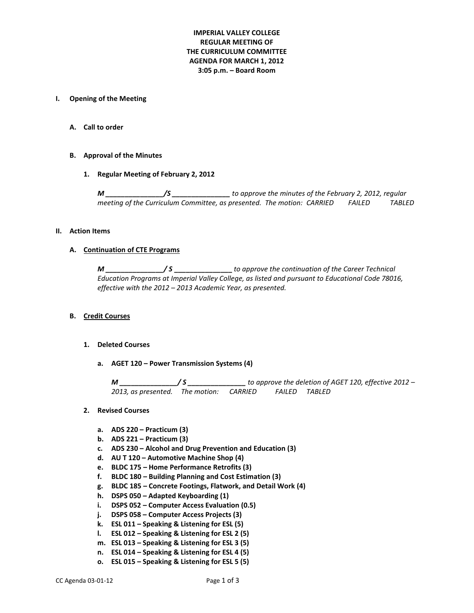# **IMPERIAL VALLEY COLLEGE REGULAR MEETING OF THE CURRICULUM COMMITTEE AGENDA FOR MARCH 1, 2012 3:05 p.m. – Board Room**

### **I. Opening of the Meeting**

**A. Call to order**

## **B. Approval of the Minutes**

**1. Regular Meeting of February 2, 2012**

*M \_\_\_\_\_\_\_\_\_\_\_\_\_\_\_/S \_\_\_\_\_\_\_\_\_\_\_\_\_\_\_ to approve the minutes of the February 2, 2012, regular meeting of the Curriculum Committee, as presented. The motion: CARRIED FAILED TABLED*

#### **II. Action Items**

#### **A. Continuation of CTE Programs**

*M \_\_\_\_\_\_\_\_\_\_\_\_\_\_\_/ S* **\_\_\_\_\_\_\_\_\_\_\_\_\_\_\_** *to approve the continuation of the Career Technical Education Programs at Imperial Valley College, as listed and pursuant to Educational Code 78016, effective with the 2012 – 2013 Academic Year, as presented.*

#### **B. Credit Courses**

#### **1. Deleted Courses**

**a. AGET 120 – Power Transmission Systems (4)**

*M \_\_\_\_\_\_\_\_\_\_\_\_\_\_\_/ S \_\_\_\_\_\_\_\_\_\_\_\_\_\_\_ to approve the deletion of AGET 120, effective 2012 – 2013, as presented. The motion: CARRIED FAILED TABLED*

#### **2. Revised Courses**

- **a. ADS 220 – Practicum (3)**
- **b. ADS 221 – Practicum (3)**
- **c. ADS 230 – Alcohol and Drug Prevention and Education (3)**
- **d. AU T 120 – Automotive Machine Shop (4)**
- **e. BLDC 175 – Home Performance Retrofits (3)**
- **f. BLDC 180 – Building Planning and Cost Estimation (3)**
- **g. BLDC 185 – Concrete Footings, Flatwork, and Detail Work (4)**
- **h. DSPS 050 – Adapted Keyboarding (1)**
- **i. DSPS 052 – Computer Access Evaluation (0.5)**
- **j. DSPS 058 – Computer Access Projects (3)**
- **k. ESL 011 – Speaking & Listening for ESL (5)**
- **l. ESL 012 – Speaking & Listening for ESL 2 (5)**
- **m. ESL 013 – Speaking & Listening for ESL 3 (5)**
- **n. ESL 014 – Speaking & Listening for ESL 4 (5)**
- **o. ESL 015 – Speaking & Listening for ESL 5 (5)**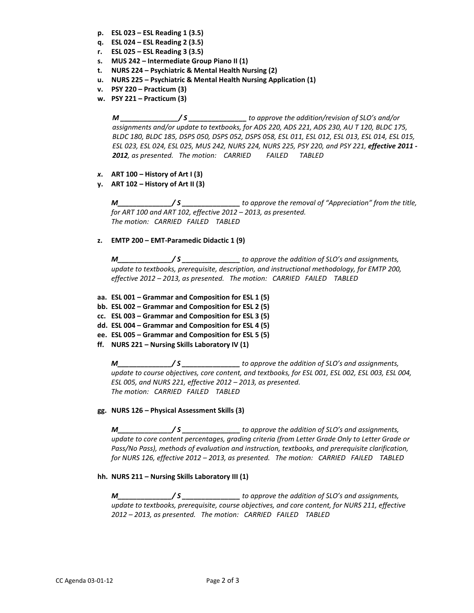- **p. ESL 023 – ESL Reading 1 (3.5)**
- **q. ESL 024 – ESL Reading 2 (3.5)**
- **r. ESL 025 – ESL Reading 3 (3.5)**
- **s. MUS 242 – Intermediate Group Piano II (1)**
- **t. NURS 224 – Psychiatric & Mental Health Nursing (2)**
- **u. NURS 225 – Psychiatric & Mental Health Nursing Application (1)**
- **v. PSY 220 – Practicum (3)**
- **w. PSY 221 – Practicum (3)**

*M \_\_\_\_\_\_\_\_\_\_\_\_\_\_\_/ S \_\_\_\_\_\_\_\_\_\_\_\_\_\_\_ to approve the addition/revision of SLO's and/or assignments and/or update to textbooks, for ADS 220, ADS 221, ADS 230, AU T 120, BLDC 175, BLDC 180, BLDC 185, DSPS 050, DSPS 052, DSPS 058, ESL 011, ESL 012, ESL 013, ESL 014, ESL 015, ESL 023, ESL 024, ESL 025, MUS 242, NURS 224, NURS 225, PSY 220, and PSY 221, effective 2011 - 2012, as presented. The motion: CARRIED FAILED TABLED*

- *x***. ART 100 – History of Art I (3)**
- **y. ART 102 – History of Art II (3)**

*M\_\_\_\_\_\_\_\_\_\_\_\_\_\_/ S \_\_\_\_\_\_\_\_\_\_\_\_\_\_\_ to approve the removal of "Appreciation" from the title, for ART 100 and ART 102, effective 2012 – 2013, as presented. The motion: CARRIED FAILED TABLED*

**z. EMTP 200 – EMT-Paramedic Didactic 1 (9)**

*M\_\_\_\_\_\_\_\_\_\_\_\_\_\_/ S \_\_\_\_\_\_\_\_\_\_\_\_\_\_\_ to approve the addition of SLO's and assignments, update to textbooks, prerequisite, description, and instructional methodology, for EMTP 200, effective 2012 – 2013, as presented. The motion: CARRIED FAILED TABLED*

- **aa. ESL 001 – Grammar and Composition for ESL 1 (5)**
- **bb. ESL 002 – Grammar and Composition for ESL 2 (5)**
- **cc. ESL 003 – Grammar and Composition for ESL 3 (5)**
- **dd. ESL 004 – Grammar and Composition for ESL 4 (5)**
- **ee. ESL 005 – Grammar and Composition for ESL 5 (5)**
- **ff. NURS 221 – Nursing Skills Laboratory IV (1)**

*M\_\_\_\_\_\_\_\_\_\_\_\_\_\_/ S \_\_\_\_\_\_\_\_\_\_\_\_\_\_\_ to approve the addition of SLO's and assignments, update to course objectives, core content, and textbooks, for ESL 001, ESL 002, ESL 003, ESL 004, ESL 005, and NURS 221, effective 2012 – 2013, as presented. The motion: CARRIED FAILED TABLED*

## **gg. NURS 126 – Physical Assessment Skills (3)**

*M\_\_\_\_\_\_\_\_\_\_\_\_\_\_/ S \_\_\_\_\_\_\_\_\_\_\_\_\_\_\_ to approve the addition of SLO's and assignments, update to core content percentages, grading criteria (from Letter Grade Only to Letter Grade or Pass/No Pass), methods of evaluation and instruction, textbooks, and prerequisite clarification, for NURS 126, effective 2012 – 2013, as presented. The motion: CARRIED FAILED TABLED*

## **hh. NURS 211 – Nursing Skills Laboratory III (1)**

*M\_\_\_\_\_\_\_\_\_\_\_\_\_\_/ S \_\_\_\_\_\_\_\_\_\_\_\_\_\_\_ to approve the addition of SLO's and assignments, update to textbooks, prerequisite, course objectives, and core content, for NURS 211, effective 2012 – 2013, as presented. The motion: CARRIED FAILED TABLED*